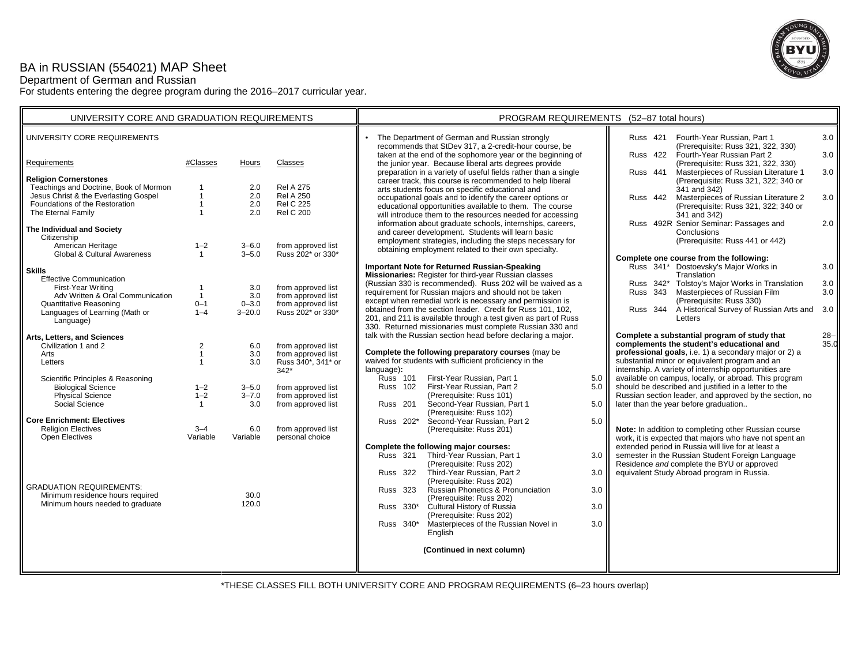## BA in RUSSIAN (554021) MAP Sheet

Department of German and Russian

For students entering the degree program during the 2016–2017 curricular year.



| UNIVERSITY CORE AND GRADUATION REQUIREMENTS                                              |                                  |                         |                                          | PROGRAM REQUIREMENTS (52-87 total hours)                                                                                                                                                                                                                                                              |  |  |  |
|------------------------------------------------------------------------------------------|----------------------------------|-------------------------|------------------------------------------|-------------------------------------------------------------------------------------------------------------------------------------------------------------------------------------------------------------------------------------------------------------------------------------------------------|--|--|--|
| UNIVERSITY CORE REQUIREMENTS                                                             |                                  |                         |                                          | The Department of German and Russian strongly<br>Fourth-Year Russian, Part 1<br>3.0<br>Russ 421<br>recommends that StDev 317, a 2-credit-hour course, be<br>(Prerequisite: Russ 321, 322, 330)                                                                                                        |  |  |  |
| Requirements                                                                             | #Classes                         | Hours                   | Classes                                  | taken at the end of the sophomore year or the beginning of<br><b>Russ 422</b><br>Fourth-Year Russian Part 2<br>3.0<br>the junior year. Because liberal arts degrees provide<br>(Prerequisite: Russ 321, 322, 330)                                                                                     |  |  |  |
| <b>Religion Cornerstones</b><br>Teachings and Doctrine, Book of Mormon                   | $\overline{\mathbf{1}}$          | 2.0                     | <b>Rel A 275</b>                         | preparation in a variety of useful fields rather than a single<br>Russ 441<br>Masterpieces of Russian Literature 1<br>3.0<br>career track, this course is recommended to help liberal<br>(Prerequisite: Russ 321, 322; 340 or                                                                         |  |  |  |
| Jesus Christ & the Everlasting Gospel<br>Foundations of the Restoration                  | $\mathbf{1}$<br>$\mathbf{1}$     | 2.0<br>2.0              | <b>Rel A 250</b><br><b>Rel C 225</b>     | arts students focus on specific educational and<br>341 and 342)<br>occupational goals and to identify the career options or<br>Russ 442 Masterpieces of Russian Literature 2<br>3.0                                                                                                                   |  |  |  |
| The Eternal Family                                                                       | $\overline{1}$                   | 2.0                     | <b>Rel C 200</b>                         | educational opportunities available to them. The course<br>(Prerequisite: Russ 321, 322; 340 or<br>will introduce them to the resources needed for accessing<br>341 and 342)                                                                                                                          |  |  |  |
| The Individual and Society<br>Citizenship                                                |                                  |                         |                                          | Russ 492R Senior Seminar: Passages and<br>information about graduate schools, internships, careers,<br>2.0<br>and career development. Students will learn basic<br>Conclusions                                                                                                                        |  |  |  |
| American Heritage<br>Global & Cultural Awareness                                         | $1 - 2$<br>$\mathbf{1}$          | $3 - 6.0$<br>$3 - 5.0$  | from approved list<br>Russ 202* or 330*  | (Prerequisite: Russ 441 or 442)<br>employment strategies, including the steps necessary for<br>obtaining employment related to their own specialty.                                                                                                                                                   |  |  |  |
| <b>Skills</b>                                                                            |                                  |                         |                                          | Complete one course from the following:<br><b>Important Note for Returned Russian-Speaking</b><br>Russ 341* Dostoevsky's Major Works in<br>3.0                                                                                                                                                        |  |  |  |
| <b>Effective Communication</b><br>First-Year Writing<br>Adv Written & Oral Communication | $\overline{1}$<br>$\overline{1}$ | 3.0<br>3.0              | from approved list<br>from approved list | Missionaries: Register for third-year Russian classes<br>Translation<br>(Russian 330 is recommended). Russ 202 will be waived as a<br>Russ 342* Tolstoy's Major Works in Translation<br>3.0<br>requirement for Russian majors and should not be taken<br>Russ 343 Masterpieces of Russian Film<br>3.0 |  |  |  |
| Quantitative Reasoning<br>Languages of Learning (Math or                                 | $0 - 1$<br>$1 - 4$               | $0 - 3.0$<br>$3 - 20.0$ | from approved list<br>Russ 202* or 330*  | except when remedial work is necessary and permission is<br>(Prerequisite: Russ 330)<br>Russ 344 A Historical Survey of Russian Arts and<br>obtained from the section leader. Credit for Russ 101, 102,<br>3.0                                                                                        |  |  |  |
| Language)                                                                                |                                  |                         |                                          | 201, and 211 is available through a test given as part of Russ<br>Letters<br>330. Returned missionaries must complete Russian 330 and                                                                                                                                                                 |  |  |  |
| Arts, Letters, and Sciences<br>Civilization 1 and 2                                      | 2                                | 6.0                     | from approved list                       | talk with the Russian section head before declaring a major.<br>Complete a substantial program of study that<br>$28 -$<br>complements the student's educational and<br>35.0                                                                                                                           |  |  |  |
| Arts<br>Letters                                                                          | $\mathbf{1}$<br>$\overline{1}$   | 3.0<br>3.0              | from approved list<br>Russ 340*, 341* or | Complete the following preparatory courses (may be<br>professional goals, i.e. 1) a secondary major or 2) a<br>waived for students with sufficient proficiency in the<br>substantial minor or equivalent program and an                                                                               |  |  |  |
| Scientific Principles & Reasoning                                                        |                                  |                         | $342*$                                   | internship. A variety of internship opportunities are<br>language):<br>available on campus, locally, or abroad. This program<br><b>Russ 101</b><br>First-Year Russian, Part 1<br>5.0                                                                                                                  |  |  |  |
| <b>Biological Science</b><br><b>Physical Science</b>                                     | $1 - 2$<br>$1 - 2$               | $3 - 5.0$<br>$3 - 7.0$  | from approved list<br>from approved list | should be described and justified in a letter to the<br>First-Year Russian, Part 2<br><b>Russ</b> 102<br>5.0<br>Russian section leader, and approved by the section, no<br>(Prerequisite: Russ 101)                                                                                                   |  |  |  |
| Social Science                                                                           | $\mathbf{1}$                     | 3.0                     | from approved list                       | Second-Year Russian, Part 1<br>later than the year before graduation<br><b>Russ</b> 201<br>5.0<br>(Prerequisite: Russ 102)                                                                                                                                                                            |  |  |  |
| <b>Core Enrichment: Electives</b><br><b>Religion Electives</b><br><b>Open Electives</b>  | $3 - 4$<br>Variable              | 6.0<br>Variable         | from approved list<br>personal choice    | Russ 202*<br>Second-Year Russian, Part 2<br>5.0<br>(Prerequisite: Russ 201)<br>Note: In addition to completing other Russian course<br>work, it is expected that majors who have not spent an                                                                                                         |  |  |  |
|                                                                                          |                                  |                         |                                          | extended period in Russia will live for at least a<br>Complete the following major courses:<br>Third-Year Russian, Part 1<br>semester in the Russian Student Foreign Language<br>Russ 321<br>$3.0\text{ }$<br>Residence and complete the BYU or approved<br>(Prerequisite: Russ 202)                  |  |  |  |
|                                                                                          |                                  |                         |                                          | equivalent Study Abroad program in Russia.<br><b>Russ 322</b><br>Third-Year Russian, Part 2<br>3.0<br>(Prerequisite: Russ 202)                                                                                                                                                                        |  |  |  |
| <b>GRADUATION REQUIREMENTS:</b><br>Minimum residence hours required                      |                                  | 30.0                    |                                          | Russian Phonetics & Pronunciation<br>Russ 323<br>3.0<br>(Prerequisite: Russ 202)                                                                                                                                                                                                                      |  |  |  |
| Minimum hours needed to graduate                                                         |                                  | 120.0                   |                                          | Cultural History of Russia<br>Russ 330*<br>3.0<br>(Prerequisite: Russ 202)                                                                                                                                                                                                                            |  |  |  |
|                                                                                          |                                  |                         |                                          | Russ 340*<br>Masterpieces of the Russian Novel in<br>3.0<br>English                                                                                                                                                                                                                                   |  |  |  |
|                                                                                          |                                  |                         |                                          | (Continued in next column)                                                                                                                                                                                                                                                                            |  |  |  |
|                                                                                          |                                  |                         |                                          |                                                                                                                                                                                                                                                                                                       |  |  |  |

\*THESE CLASSES FILL BOTH UNIVERSITY CORE AND PROGRAM REQUIREMENTS (6–23 hours overlap)